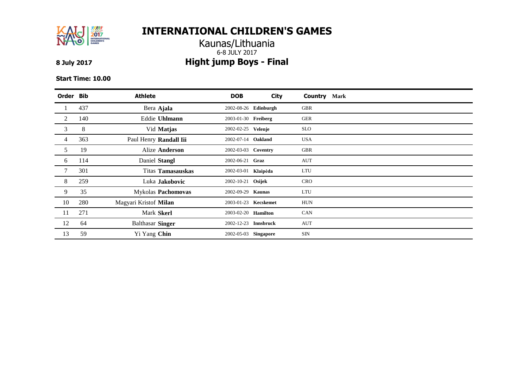

### Kaunas/Lithuania 6-8 JULY 2017 **8 July 2017 Hight jump Boys - Final**

**Start Time: 10.00**

| Order Bib |     | <b>Athlete</b>          | <b>DOB</b>                 | <b>City</b>          | Country    | <b>Mark</b> |
|-----------|-----|-------------------------|----------------------------|----------------------|------------|-------------|
|           | 437 | Bera Ajala              |                            | 2002-08-26 Edinburgh | <b>GBR</b> |             |
| 2         | 140 | <b>Eddie Uhlmann</b>    | 2003-01-30 Freiberg        |                      | <b>GER</b> |             |
| 3         | 8   | Vid Matjas              | 2002-02-25 Velenje         |                      | <b>SLO</b> |             |
| 4         | 363 | Paul Henry Randall Iii  | 2002-07-14 Oakland         |                      | <b>USA</b> |             |
| 5         | 19  | Alize <b>Anderson</b>   | 2002-03-03 Coventry        |                      | <b>GBR</b> |             |
| 6         | 114 | Daniel Stangl           | 2002-06-21 Graz            |                      | <b>AUT</b> |             |
|           | 301 | Titas Tamasauskas       | 2002-03-01 Klaipėda        |                      | LTU        |             |
| 8         | 259 | Luka <b>Jakobovic</b>   | 2002-10-21 Osijek          |                      | <b>CRO</b> |             |
| 9         | 35  | Mykolas Pachomovas      | 2002-09-29 Kaunas          |                      | <b>LTU</b> |             |
| 10        | 280 | Magyari Kristof Milan   |                            | 2003-01-23 Kecskemet | <b>HUN</b> |             |
| 11        | 271 | Mark Skerl              | 2003-02-20 <b>Hamilton</b> |                      | CAN        |             |
| 12        | 64  | <b>Balthasar Singer</b> | 2002-12-23 Innsbruck       |                      | <b>AUT</b> |             |
| 13        | 59  | Yi Yang Chin            | 2002-05-03 Singapore       |                      | <b>SIN</b> |             |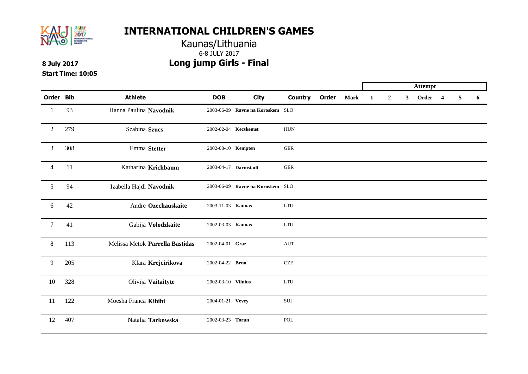

### Kaunas/Lithuania 6-8 JULY 2017 **8 July 2017 Long jump Girls - Final**

**Start Time: 10:05**

|                |     |                                 |                    |                                  |                |       |             | <b>Attempt</b> |                |   |       |   |   |   |
|----------------|-----|---------------------------------|--------------------|----------------------------------|----------------|-------|-------------|----------------|----------------|---|-------|---|---|---|
| Order Bib      |     | <b>Athlete</b>                  | <b>DOB</b>         | <b>City</b>                      | <b>Country</b> | Order | <b>Mark</b> | 1              | $\overline{2}$ | 3 | Order | 4 | 5 | 6 |
| -1             | 93  | Hanna Paulina Navodnik          | 2003-06-09         | Ravne na Koroskem SLO            |                |       |             |                |                |   |       |   |   |   |
| $\overline{2}$ | 279 | Szabina Szucs                   |                    | 2002-02-04 Kecskemet             | ${\rm HUN}$    |       |             |                |                |   |       |   |   |   |
| 3              | 308 | Emma Stetter                    | 2002-08-10 Kempten |                                  | <b>GER</b>     |       |             |                |                |   |       |   |   |   |
| $\overline{4}$ | 11  | Katharina Krichbaum             |                    | 2003-04-17 Darmstadt             | <b>GER</b>     |       |             |                |                |   |       |   |   |   |
| 5              | 94  | Izabella Hajdi Navodnik         |                    | 2003-06-09 Ravne na Koroskem SLO |                |       |             |                |                |   |       |   |   |   |
| 6              | 42  | Andre Ozechauskaite             | 2003-11-03 Kaunas  |                                  | LTU            |       |             |                |                |   |       |   |   |   |
| $\overline{7}$ | 41  | Gabija Volodzkaite              | 2002-03-03 Kaunas  |                                  | LTU            |       |             |                |                |   |       |   |   |   |
| $8\,$          | 113 | Melissa Metok Parrella Bastidas | 2002-04-01 Graz    |                                  | AUT            |       |             |                |                |   |       |   |   |   |
| 9              | 205 | Klara Krejcirikova              | 2002-04-22 Brno    |                                  | CZE            |       |             |                |                |   |       |   |   |   |
| 10             | 328 | Olivija Vaitaityte              | 2002-03-10 Vilnius |                                  | <b>LTU</b>     |       |             |                |                |   |       |   |   |   |
| 11             | 122 | Moesha Franca Kibibi            | 2004-01-21 Vevey   |                                  | $\rm SUI$      |       |             |                |                |   |       |   |   |   |
| 12             | 407 | Natalia Tarkowska               | 2002-03-23 Torun   |                                  | POL            |       |             |                |                |   |       |   |   |   |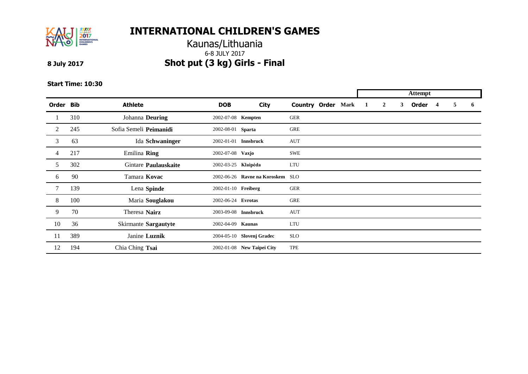

### Kaunas/Lithuania 6-8 JULY 2017 **8 July 2017 Shot put (3 kg) Girls - Final**

**Start Time: 10:30**

|                |     |                        |                             |                                  |                           |  | <b>Attempt</b> |                |   |       |                  |  |   |
|----------------|-----|------------------------|-----------------------------|----------------------------------|---------------------------|--|----------------|----------------|---|-------|------------------|--|---|
| Order Bib      |     | <b>Athlete</b>         | <b>DOB</b>                  | <b>City</b>                      | <b>Country Order Mark</b> |  |                | $\overline{2}$ | 3 | Order | $\boldsymbol{4}$ |  | 6 |
|                | 310 | Johanna Deuring        | 2002-07-08 Kempten          |                                  | <b>GER</b>                |  |                |                |   |       |                  |  |   |
| $\overline{2}$ | 245 | Sofia Semeli Peimanidi | 2002-08-01 Sparta           |                                  | <b>GRE</b>                |  |                |                |   |       |                  |  |   |
| 3              | 63  | Ida Schwaninger        | 2002-01-01 <b>Innsbruck</b> |                                  | AUT                       |  |                |                |   |       |                  |  |   |
| $\overline{4}$ | 217 | Emilina Ring           | 2002-07-08 Vaxjo            |                                  | <b>SWE</b>                |  |                |                |   |       |                  |  |   |
| 5              | 302 | Gintare Paulauskaite   | 2002-03-25 Klaipėda         |                                  | <b>LTU</b>                |  |                |                |   |       |                  |  |   |
| 6              | 90  | Tamara Kovac           |                             | 2002-06-26 Ravne na Koroskem SLO |                           |  |                |                |   |       |                  |  |   |
| 7              | 139 | Lena Spinde            | 2002-01-10 Freiberg         |                                  | <b>GER</b>                |  |                |                |   |       |                  |  |   |
| 8              | 100 | Maria Souglakou        | 2002-06-24 Evrotas          |                                  | <b>GRE</b>                |  |                |                |   |       |                  |  |   |
| 9              | 70  | Theresa Nairz          | 2003-09-08 Innsbruck        |                                  | <b>AUT</b>                |  |                |                |   |       |                  |  |   |
| 10             | 36  | Skirmante Sargautyte   | 2002-04-09 Kaunas           |                                  | <b>LTU</b>                |  |                |                |   |       |                  |  |   |
| 11             | 389 | Janine Luznik          |                             | 2004-05-10 Slovenj Gradec        | <b>SLO</b>                |  |                |                |   |       |                  |  |   |
| 12             | 194 | Chia Ching Tsai        |                             | 2002-01-08 New Taipei City       | TPE                       |  |                |                |   |       |                  |  |   |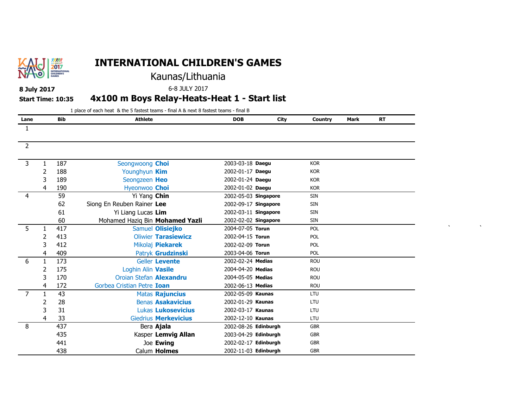

# Kaunas/Lithuania

### **8 July 2017** 6-8 JULY 2017

**Start Time: 10:35 4x100 m Boys Relay-Heats-Heat 1 - Start list**

| Lane           |              | <b>Bib</b> | <b>Athlete</b>                  |                             | <b>DOB</b>           | City | Country    | Mark | <b>RT</b> |
|----------------|--------------|------------|---------------------------------|-----------------------------|----------------------|------|------------|------|-----------|
| $\mathbf{1}$   |              |            |                                 |                             |                      |      |            |      |           |
| $\overline{2}$ |              |            |                                 |                             |                      |      |            |      |           |
|                |              |            |                                 |                             |                      |      |            |      |           |
| 3              |              | 187        | Seongwoong Choi                 |                             | 2003-03-18 Daegu     |      | <b>KOR</b> |      |           |
|                | 2            | 188        | Younghyun Kim                   |                             | 2002-01-17 Daegu     |      | <b>KOR</b> |      |           |
|                | 3            | 189        | Seongzeen Heo                   |                             | 2002-01-24 Daegu     |      | <b>KOR</b> |      |           |
|                | 4            | 190        | Hyeonwoo Choi                   |                             | 2002-01-02 Daegu     |      | <b>KOR</b> |      |           |
| 4              |              | 59         | Yi Yang Chin                    |                             | 2002-05-03 Singapore |      | <b>SIN</b> |      |           |
|                |              | 62         | Siong En Reuben Rainer Lee      |                             | 2002-09-17 Singapore |      | <b>SIN</b> |      |           |
|                |              | 61         | Yi Liang Lucas Lim              |                             | 2002-03-11 Singapore |      | <b>SIN</b> |      |           |
|                |              | 60         | Mohamed Haziq Bin Mohamed Yazli |                             | 2002-02-02 Singapore |      | <b>SIN</b> |      |           |
| 5              |              | 417        |                                 | Samuel Olisiejko            | 2004-07-05 Torun     |      | POL        |      |           |
|                |              | 413        |                                 | <b>Oliwier Tarasiewicz</b>  | 2002-04-15 Torun     |      | POL        |      |           |
|                | 3            | 412        |                                 | Mikolaj Piekarek            | 2002-02-09 Torun     |      | POL        |      |           |
|                | 4            | 409        |                                 | Patryk Grudzinski           | 2003-04-06 Torun     |      | POL        |      |           |
| 6              | $\mathbf{1}$ | 173        |                                 | Geller Levente              | 2002-02-24 Medias    |      | <b>ROU</b> |      |           |
|                | 2            | 175        | Loghin Alin Vasile              |                             | 2004-04-20 Medias    |      | <b>ROU</b> |      |           |
|                | 3            | 170        | Oroian Stefan Alexandru         |                             | 2004-05-05 Medias    |      | <b>ROU</b> |      |           |
|                | 4            | 172        | Gorbea Cristian Petre Ioan      |                             | 2002-06-13 Medias    |      | <b>ROU</b> |      |           |
| $\overline{7}$ | $\mathbf{1}$ | 43         |                                 | Matas Rajuncius             | 2002-05-09 Kaunas    |      | LTU        |      |           |
|                | 2            | 28         |                                 | <b>Benas Asakavicius</b>    | 2002-01-29 Kaunas    |      | LTU        |      |           |
|                | 3            | 31         |                                 | Lukas <b>Lukosevicius</b>   | 2002-03-17 Kaunas    |      | LTU        |      |           |
|                | 4            | 33         |                                 | <b>Giedrius Merkevicius</b> | 2002-12-10 Kaunas    |      | LTU        |      |           |
| 8              |              | 437        |                                 | Bera Ajala                  | 2002-08-26 Edinburgh |      | <b>GBR</b> |      |           |
|                |              | 435        |                                 | Kasper Lemvig Allan         | 2003-04-29 Edinburgh |      | <b>GBR</b> |      |           |
|                |              | 441        |                                 | Joe Ewing                   | 2002-02-17 Edinburgh |      | <b>GBR</b> |      |           |
|                |              | 438        |                                 | Calum Holmes                | 2002-11-03 Edinburgh |      | <b>GBR</b> |      |           |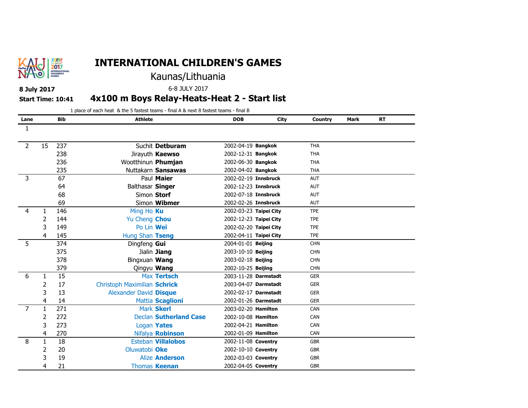

# Kaunas/Lithuania

### **8 July 2017** 6-8 JULY 2017

**Start Time: 10:41 4x100 m Boys Relay-Heats-Heat 2 - Start list**

1 place of each heat & the 5 fastest teams - final A & next 8 fastest teams - final B

| Lane |              | <b>Bib</b> | <b>Athlete</b>                |                               | <b>DOB</b>             | City                 | Country    | <b>Mark</b> | <b>RT</b> |
|------|--------------|------------|-------------------------------|-------------------------------|------------------------|----------------------|------------|-------------|-----------|
| 1    |              |            |                               |                               |                        |                      |            |             |           |
|      |              |            |                               |                               |                        |                      |            |             |           |
| 2    | 15           | 237        |                               | Suchit Detburam               | 2002-04-19 Bangkok     |                      | <b>THA</b> |             |           |
|      |              | 238        |                               | Jirayuth Kaewso               | 2002-12-31 Bangkok     |                      | <b>THA</b> |             |           |
|      |              | 236        | Wootthinun Phumjan            |                               | 2002-06-30 Bangkok     |                      | <b>THA</b> |             |           |
|      |              | 235        |                               | Nuttakarn Sansawas            | 2002-04-02 Bangkok     |                      | <b>THA</b> |             |           |
| 3    |              | 67         |                               | Paul Maier                    | 2002-02-19 Innsbruck   |                      | <b>AUT</b> |             |           |
|      |              | 64         | Balthasar Singer              |                               | 2002-12-23 Innsbruck   |                      | <b>AUT</b> |             |           |
|      |              | 68         | Simon Storf                   |                               | 2002-07-18 Innsbruck   |                      | AUT        |             |           |
|      |              | 69         |                               | Simon Wibmer                  | 2002-02-26 Innsbruck   |                      | AUT        |             |           |
| 4    | 1            | 146        | Ming Ho Ku                    |                               | 2002-03-23 Taipei City |                      | <b>TPE</b> |             |           |
|      | 2            | 144        | Yu Cheng Chou                 |                               | 2002-12-23 Taipei City |                      | <b>TPE</b> |             |           |
|      | 3            | 149        | Po Lin Wei                    |                               | 2002-02-20 Taipei City |                      | <b>TPE</b> |             |           |
|      | 4            | 145        | Hung Shan Tseng               |                               | 2002-04-11 Taipei City |                      | <b>TPE</b> |             |           |
| 5    |              | 374        | Dingfeng Gui                  |                               | 2004-01-01 Beijing     |                      | <b>CHN</b> |             |           |
|      |              | 375        |                               | Jialin Jiang                  | 2003-10-10 Beijing     |                      | <b>CHN</b> |             |           |
|      |              | 378        | Bingxuan Wang                 |                               | 2003-02-18 Beijing     |                      | <b>CHN</b> |             |           |
|      |              | 379        | Qingyu Wang                   |                               | 2002-10-25 Beijing     |                      | <b>CHN</b> |             |           |
| 6    | 1            | 15         |                               | Max Tertsch                   | 2003-11-28 Darmstadt   |                      | <b>GER</b> |             |           |
|      | 2            | 17         | Christoph Maximilian Schrick  |                               |                        | 2003-04-07 Darmstadt | <b>GER</b> |             |           |
|      | 3            | 13         | <b>Alexander David Disque</b> |                               | 2002-02-17 Darmstadt   |                      | <b>GER</b> |             |           |
|      | 4            | 14         |                               | Mattia Scaglioni              |                        | 2002-01-26 Darmstadt | <b>GER</b> |             |           |
| 7    | 1            | 271        |                               | Mark Skerl                    | 2003-02-20 Hamilton    |                      | CAN        |             |           |
|      | 2            | 272        |                               | <b>Declan Sutherland Case</b> | 2002-10-08 Hamilton    |                      | CAN        |             |           |
|      | 3            | 273        |                               | Logan Yates                   | 2002-04-21 Hamilton    |                      | CAN        |             |           |
|      | 4            | 270        |                               | Nifalya Robinson              | 2002-01-09 Hamilton    |                      | CAN        |             |           |
| 8    | $\mathbf{1}$ | 18         |                               | <b>Esteban Villalobos</b>     | 2002-11-08 Coventry    |                      | <b>GBR</b> |             |           |
|      | 2            | 20         | Oluwatobi Oke                 |                               | 2002-10-10 Coventry    |                      | <b>GBR</b> |             |           |
|      | 3            | 19         |                               | <b>Alize Anderson</b>         | 2002-03-03 Coventry    |                      | <b>GBR</b> |             |           |
|      | 4            | 21         |                               | Thomas <b>Keenan</b>          | 2002-04-05 Coventry    |                      | <b>GBR</b> |             |           |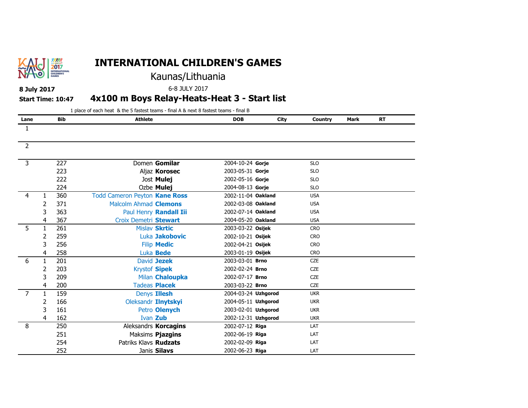

# Kaunas/Lithuania

**Start Time: 10:47 4x100 m Boys Relay-Heats-Heat 3 - Start list**

**8 July 2017** 6-8 JULY 2017

### 1 place of each heat & the 5 fastest teams - final A & next 8 fastest teams - final B

| Lane           |              | Bib | <b>Athlete</b>                | <b>DOB</b>          | City | Country    | <b>Mark</b> | <b>RT</b> |  |
|----------------|--------------|-----|-------------------------------|---------------------|------|------------|-------------|-----------|--|
| 1              |              |     |                               |                     |      |            |             |           |  |
| $\overline{2}$ |              |     |                               |                     |      |            |             |           |  |
|                |              |     |                               |                     |      |            |             |           |  |
| 3              |              | 227 | Domen Gomilar                 | 2004-10-24 Gorje    |      | <b>SLO</b> |             |           |  |
|                |              | 223 | Aljaz Korosec                 | 2003-05-31 Gorje    |      | <b>SLO</b> |             |           |  |
|                |              | 222 | Jost Mulej                    | 2002-05-16 Gorje    |      | <b>SLO</b> |             |           |  |
|                |              | 224 | Ozbe Mulej                    | 2004-08-13 Gorje    |      | <b>SLO</b> |             |           |  |
| 4              | 1            | 360 | Todd Cameron Peyton Kane Ross | 2002-11-04 Oakland  |      | <b>USA</b> |             |           |  |
|                | 2            | 371 | <b>Malcolm Ahmad Clemons</b>  | 2002-03-08 Oakland  |      | <b>USA</b> |             |           |  |
|                | 3            | 363 | Paul Henry Randall Iii        | 2002-07-14 Oakland  |      | <b>USA</b> |             |           |  |
|                | 4            | 367 | Croix Demetri Stewart         | 2004-05-20 Oakland  |      | <b>USA</b> |             |           |  |
| 5              | 1            | 261 | <b>Mislav Skrtic</b>          | 2003-03-22 Osijek   |      | <b>CRO</b> |             |           |  |
|                | 2            | 259 | Luka Jakobovic                | 2002-10-21 Osijek   |      | <b>CRO</b> |             |           |  |
|                | 3            | 256 | <b>Filip Medic</b>            | 2002-04-21 Osijek   |      | <b>CRO</b> |             |           |  |
|                | 4            | 258 | Luka <b>Bede</b>              | 2003-01-19 Osijek   |      | <b>CRO</b> |             |           |  |
| 6              | 1            | 201 | David Jezek                   | 2003-03-01 Brno     |      | <b>CZE</b> |             |           |  |
|                | 2            | 203 | <b>Krystof Sipek</b>          | 2002-02-24 Brno     |      | <b>CZE</b> |             |           |  |
|                | 3            | 209 | Milan Chaloupka               | 2002-07-17 Brno     |      | <b>CZE</b> |             |           |  |
|                | 4            | 200 | <b>Tadeas Placek</b>          | 2003-03-22 Brno     |      | <b>CZE</b> |             |           |  |
| $\overline{7}$ | $\mathbf{1}$ | 159 | Denys Illesh                  | 2004-03-24 Uzhgorod |      | <b>UKR</b> |             |           |  |
|                | 2            | 166 | Oleksandr Ilnytskyi           | 2004-05-11 Uzhgorod |      | <b>UKR</b> |             |           |  |
|                | 3            | 161 | Petro Olenych                 | 2003-02-01 Uzhgorod |      | <b>UKR</b> |             |           |  |
|                | 4            | 162 | <b>Ivan Zub</b>               | 2002-12-31 Uzhgorod |      | <b>UKR</b> |             |           |  |
| 8              |              | 250 | Aleksandrs Korcagins          | 2002-07-12 Riga     |      | LAT        |             |           |  |
|                |              | 251 | Maksims Pjazgins              | 2002-06-19 Riga     |      | LAT        |             |           |  |
|                |              | 254 | Patriks Klavs Rudzats         | 2002-02-09 Riga     |      | LAT        |             |           |  |
|                |              | 252 | Janis Silavs                  | 2002-06-23 Riga     |      | LAT        |             |           |  |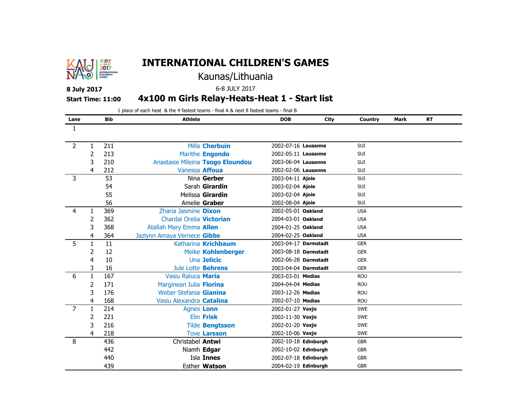

# Kaunas/Lithuania

### **8 July 2017** 6-8 JULY 2017

**Start Time: 11:00 4x100 m Girls Relay-Heats-Heat 1 - Start list**

1 place of each heat & the 4 fastest teams - final A & next 8 fastest teams - final B

| Lane           |              | <b>Bib</b> | <b>Athlete</b>                 |                                  | <b>DOB</b>           | City | Country    | Mark | <b>RT</b> |  |
|----------------|--------------|------------|--------------------------------|----------------------------------|----------------------|------|------------|------|-----------|--|
| 1              |              |            |                                |                                  |                      |      |            |      |           |  |
|                |              |            |                                |                                  |                      |      |            |      |           |  |
| 2              | 1            | 211        |                                | Milla Cherbuin                   | 2002-07-16 Lausanne  |      | <b>SUI</b> |      |           |  |
|                | 2            | 213        |                                | Marithe Engondo                  | 2002-05-11 Lausanne  |      | <b>SUI</b> |      |           |  |
|                | 3            | 210        |                                | Anastasie Mileina Tsogo Eloundou | 2003-06-04 Lausanne  |      | SUI        |      |           |  |
|                | 4            | 212        | Vanessa Affoua                 |                                  | 2002-02-06 Lausanne  |      | <b>SUI</b> |      |           |  |
| 3              |              | 53         |                                | Nina Gerber                      | 2003-04-11 Ajoie     |      | <b>SUI</b> |      |           |  |
|                |              | 54         |                                | Sarah Girardin                   | 2003-02-04 Ajoie     |      | <b>SUI</b> |      |           |  |
|                |              | 55         |                                | Melissa Girardin                 | 2003-02-04 Ajoie     |      | <b>SUI</b> |      |           |  |
|                |              | 56         |                                | Amelie Graber                    | 2002-08-04 Ajoie     |      | SUI        |      |           |  |
| 4              | 1            | 369        | Zharia Jasmine Dixon           |                                  | 2002-05-01 Oakland   |      | <b>USA</b> |      |           |  |
|                | 2            | 362        | Chardai Orelia Victorian       |                                  | 2004-03-01 Oakland   |      | <b>USA</b> |      |           |  |
|                | 3            | 368        | <b>Atallah Mary Emma Allen</b> |                                  | 2004-01-25 Oakland   |      | <b>USA</b> |      |           |  |
|                | 4            | 364        | Jazlynn Amaya Vernece Gibbs    |                                  | 2004-02-25 Oakland   |      | <b>USA</b> |      |           |  |
| 5              | $\mathbf{1}$ | 11         |                                | Katharina <b>Krichbaum</b>       | 2003-04-17 Darmstadt |      | <b>GER</b> |      |           |  |
|                | 2            | 12         |                                | Meike Kohlenberger               | 2003-08-18 Darmstadt |      | <b>GER</b> |      |           |  |
|                | 4            | 10         |                                | Una Jelicic                      | 2002-06-28 Darmstadt |      | <b>GER</b> |      |           |  |
|                | 3            | 16         | Jule Lotte Behrens             |                                  | 2003-04-04 Darmstadt |      | <b>GER</b> |      |           |  |
| 6              | $\mathbf{1}$ | 167        | Vasiu Raluca Maria             |                                  | 2003-03-01 Medias    |      | <b>ROU</b> |      |           |  |
|                | 2            | 171        | Marginean Iulia Florina        |                                  | 2004-04-04 Medias    |      | <b>ROU</b> |      |           |  |
|                | 3            | 176        | Weber Stefania Gianina         |                                  | 2003-12-26 Medias    |      | <b>ROU</b> |      |           |  |
|                | 4            | 168        | Vasiu Alexandra Catalina       |                                  | 2002-07-10 Medias    |      | <b>ROU</b> |      |           |  |
| $\overline{7}$ | $\mathbf{1}$ | 214        | <b>Agnes Lonn</b>              |                                  | 2002-01-27 Vaxjo     |      | <b>SWE</b> |      |           |  |
|                | 2            | 221        |                                | Elin Frisk                       | 2002-11-30 Vaxjo     |      | <b>SWE</b> |      |           |  |
|                | 3            | 216        |                                | <b>Tilde Bengtsson</b>           | 2002-01-20 Vaxjo     |      | <b>SWE</b> |      |           |  |
|                | 4            | 218        |                                | <b>Tove Larsson</b>              | 2002-10-06 Vaxjo     |      | <b>SWE</b> |      |           |  |
| 8              |              | 436        | Christabel Antwi               |                                  | 2002-10-18 Edinburgh |      | <b>GBR</b> |      |           |  |
|                |              | 442        |                                | Niamh Edgar                      | 2002-10-02 Edinburgh |      | <b>GBR</b> |      |           |  |
|                |              | 440        |                                | Isla Innes                       | 2002-07-18 Edinburgh |      | <b>GBR</b> |      |           |  |
|                |              | 439        |                                | Esther Watson                    | 2004-02-19 Edinburgh |      | <b>GBR</b> |      |           |  |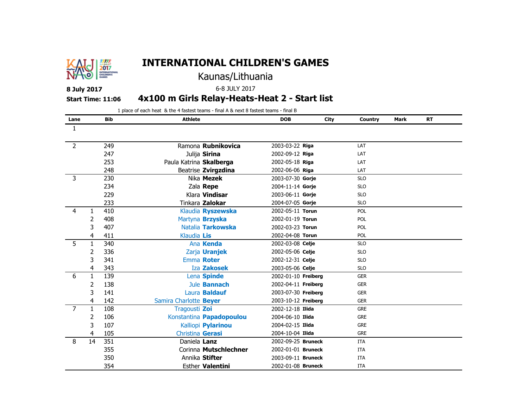

# Kaunas/Lithuania

### **8 July 2017** 6-8 JULY 2017

**Start Time: 11:06 4x100 m Girls Relay-Heats-Heat 2 - Start list**

|                |              |            | 1 place of each heat & the 4 fastest teams - final A & next 8 fastest teams - final B |                          |                     |             |            |             |           |  |
|----------------|--------------|------------|---------------------------------------------------------------------------------------|--------------------------|---------------------|-------------|------------|-------------|-----------|--|
| Lane           |              | <b>Bib</b> | <b>Athlete</b>                                                                        |                          | <b>DOB</b>          | <b>City</b> | Country    | <b>Mark</b> | <b>RT</b> |  |
| -1             |              |            |                                                                                       |                          |                     |             |            |             |           |  |
|                |              |            |                                                                                       |                          |                     |             |            |             |           |  |
| $\overline{2}$ |              | 249        |                                                                                       | Ramona Rubnikovica       | 2003-03-22 Riga     |             | LAT        |             |           |  |
|                |              | 247        |                                                                                       | Julija Sirina            | 2002-09-12 Riga     |             | LAT        |             |           |  |
|                |              | 253        | Paula Katrina Skalberga                                                               |                          | 2002-05-18 Riga     |             | LAT        |             |           |  |
|                |              | 248        |                                                                                       | Beatrise Zvirgzdina      | 2002-06-06 Riga     |             | LAT        |             |           |  |
| 3              |              | 230        |                                                                                       | Nika <b>Mezek</b>        | 2003-07-30 Gorje    |             | <b>SLO</b> |             |           |  |
|                |              | 234        |                                                                                       | Zala Repe                | 2004-11-14 Gorie    |             | <b>SLO</b> |             |           |  |
|                |              | 229        |                                                                                       | Klara Vindisar           | 2003-06-11 Gorje    |             | <b>SLO</b> |             |           |  |
|                |              | 233        |                                                                                       | Tinkara Zalokar          | 2004-07-05 Gorje    |             | <b>SLO</b> |             |           |  |
| 4              | 1            | 410        |                                                                                       | Klaudia Ryszewska        | 2002-05-11 Torun    |             | POL        |             |           |  |
|                | 2            | 408        |                                                                                       | Martyna Brzyska          | 2002-01-19 Torun    |             | POL        |             |           |  |
|                | 3            | 407        |                                                                                       | Natalia Tarkowska        | 2002-03-23 Torun    |             | POL        |             |           |  |
|                | 4            | 411        | Klaudia Lis                                                                           |                          | 2002-04-08 Torun    |             | POL        |             |           |  |
| 5              | $\mathbf{1}$ | 340        |                                                                                       | Ana Kenda                | 2002-03-08 Celje    |             | <b>SLO</b> |             |           |  |
|                | 2            | 336        |                                                                                       | Zarja Uranjek            | 2002-05-06 Celje    |             | <b>SLO</b> |             |           |  |
|                | 3            | 341        |                                                                                       | Emma Roter               | 2002-12-31 Celje    |             | <b>SLO</b> |             |           |  |
|                | 4            | 343        |                                                                                       | Iza Zakosek              | 2003-05-06 Celje    |             | <b>SLO</b> |             |           |  |
| 6              | $\mathbf{1}$ | 139        |                                                                                       | Lena Spinde              | 2002-01-10 Freiberg |             | <b>GER</b> |             |           |  |
|                | 2            | 138        |                                                                                       | Jule Bannach             | 2002-04-11 Freiberg |             | <b>GER</b> |             |           |  |
|                | 3            | 141        |                                                                                       | Laura <b>Baldauf</b>     | 2003-07-30 Freiberg |             | <b>GER</b> |             |           |  |
|                | 4            | 142        | Samira Charlotte Beyer                                                                |                          | 2003-10-12 Freiberg |             | <b>GER</b> |             |           |  |
| $\overline{7}$ | $\mathbf{1}$ | 108        | Tragousti Zoi                                                                         |                          | 2002-12-18 Ilida    |             | <b>GRE</b> |             |           |  |
|                | 2            | 106        |                                                                                       | Konstantina Papadopoulou | 2004-06-10 Ilida    |             | <b>GRE</b> |             |           |  |
|                | 3            | 107        |                                                                                       | Kalliopi Pylarinou       | 2004-02-15 Ilida    |             | <b>GRE</b> |             |           |  |
|                | 4            | 105        | Christina Gerasi                                                                      |                          | 2004-10-04 Ilida    |             | <b>GRE</b> |             |           |  |
| 8              | 14           | 351        | Daniela Lanz                                                                          |                          | 2002-09-25 Bruneck  |             | <b>ITA</b> |             |           |  |
|                |              | 355        |                                                                                       | Corinna Mutschlechner    | 2002-01-01 Bruneck  |             | <b>ITA</b> |             |           |  |
|                |              | 350        |                                                                                       | Annika Stifter           | 2003-09-11 Bruneck  |             | <b>ITA</b> |             |           |  |
|                |              | 354        |                                                                                       | <b>Esther Valentini</b>  | 2002-01-08 Bruneck  |             | <b>ITA</b> |             |           |  |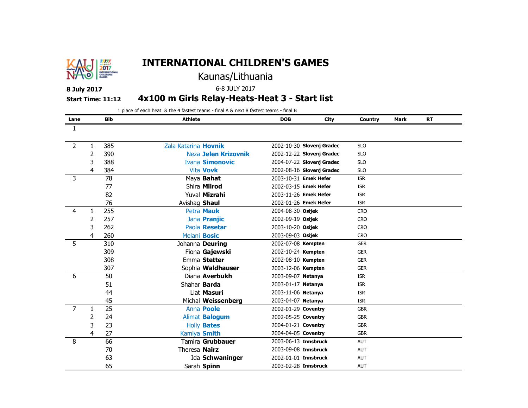

# Kaunas/Lithuania

### **8 July 2017** 6-8 JULY 2017

**Start Time: 11:12 4x100 m Girls Relay-Heats-Heat 3 - Start list** 1 place of each heat & the 4 fastest teams - final A & next 8 fastest teams - final B

| Lane           |    | <b>Bib</b> | <b>Athlete</b>       |                        | <b>DOB</b>           | City                      | Country    | <b>Mark</b> | <b>RT</b> |  |
|----------------|----|------------|----------------------|------------------------|----------------------|---------------------------|------------|-------------|-----------|--|
| $\mathbf{1}$   |    |            |                      |                        |                      |                           |            |             |           |  |
|                |    |            |                      |                        |                      |                           |            |             |           |  |
| 2              | 1  | 385        | Zala Katarina Hovnik |                        |                      | 2002-10-30 Slovenj Gradec | <b>SLO</b> |             |           |  |
|                | 2  | 390        |                      | Neza Jelen Krizovnik   |                      | 2002-12-22 Slovenj Gradec | <b>SLO</b> |             |           |  |
|                | 3  | 388        |                      | <b>Ivana Simonovic</b> |                      | 2004-07-22 Slovenj Gradec | <b>SLO</b> |             |           |  |
|                | 4  | 384        |                      | Vita <b>Vovk</b>       |                      | 2002-08-16 Slovenj Gradec | <b>SLO</b> |             |           |  |
| 3              |    | 78         |                      | Maya <b>Bahat</b>      |                      | 2003-10-31 Emek Hefer     | <b>ISR</b> |             |           |  |
|                |    | 77         |                      | Shira Milrod           |                      | 2002-03-15 Emek Hefer     | <b>ISR</b> |             |           |  |
|                |    | 82         |                      | Yuval Mizrahi          |                      | 2003-11-26 Emek Hefer     | <b>ISR</b> |             |           |  |
|                |    | 76         | Avishag Shaul        |                        |                      | 2002-01-26 Emek Hefer     | <b>ISR</b> |             |           |  |
| 4              | 1  | 255        |                      | Petra Mauk             | 2004-08-30 Osijek    |                           | <b>CRO</b> |             |           |  |
|                | 2  | 257        |                      | Jana Pranjic           | 2002-09-19 Osijek    |                           | <b>CRO</b> |             |           |  |
|                | 3  | 262        |                      | Paola Resetar          | 2003-10-20 Osijek    |                           | <b>CRO</b> |             |           |  |
|                | 4  | 260        | Melani Bosic         |                        | 2003-09-03 Osijek    |                           | <b>CRO</b> |             |           |  |
| 5              |    | 310        |                      | Johanna Deuring        | 2002-07-08 Kempten   |                           | <b>GER</b> |             |           |  |
|                |    | 309        |                      | Fiona Gajewski         | 2002-10-24 Kempten   |                           | <b>GER</b> |             |           |  |
|                |    | 308        |                      | Emma Stetter           | 2002-08-10 Kempten   |                           | <b>GER</b> |             |           |  |
|                |    | 307        |                      | Sophia Waldhauser      | 2003-12-06 Kempten   |                           | <b>GER</b> |             |           |  |
| 6              |    | 50         |                      | Diana Averbukh         | 2003-09-07 Netanya   |                           | <b>ISR</b> |             |           |  |
|                |    | 51         | Shahar <b>Barda</b>  |                        | 2003-01-17 Netanya   |                           | <b>ISR</b> |             |           |  |
|                |    | 44         |                      | Liat Masuri            | 2003-11-06 Netanya   |                           | <b>ISR</b> |             |           |  |
|                |    | 45         |                      | Michal Weissenberg     | 2003-04-07 Netanya   |                           | <b>ISR</b> |             |           |  |
| $\overline{7}$ | 1. | 25         |                      | Anna Poole             | 2002-01-29 Coventry  |                           | <b>GBR</b> |             |           |  |
|                | 2  | 24         |                      | Alimat <b>Balogum</b>  | 2002-05-25 Coventry  |                           | <b>GBR</b> |             |           |  |
|                | 3  | 23         |                      | <b>Holly Bates</b>     | 2004-01-21 Coventry  |                           | <b>GBR</b> |             |           |  |
|                | 4  | 27         | Kamiya Smith         |                        | 2004-04-05 Coventry  |                           | <b>GBR</b> |             |           |  |
| 8              |    | 66         |                      | Tamira Grubbauer       | 2003-06-13 Innsbruck |                           | <b>AUT</b> |             |           |  |
|                |    | 70         | Theresa Nairz        |                        | 2003-09-08 Innsbruck |                           | <b>AUT</b> |             |           |  |
|                |    | 63         |                      | Ida Schwaninger        | 2002-01-01 Innsbruck |                           | <b>AUT</b> |             |           |  |
|                |    | 65         |                      | Sarah Spinn            | 2003-02-28 Innsbruck |                           | <b>AUT</b> |             |           |  |